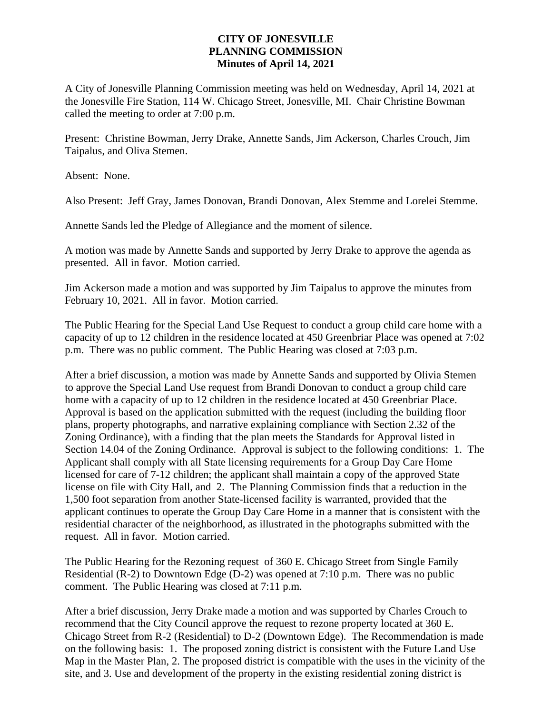## **CITY OF JONESVILLE PLANNING COMMISSION Minutes of April 14, 2021**

A City of Jonesville Planning Commission meeting was held on Wednesday, April 14, 2021 at the Jonesville Fire Station, 114 W. Chicago Street, Jonesville, MI. Chair Christine Bowman called the meeting to order at 7:00 p.m.

Present: Christine Bowman, Jerry Drake, Annette Sands, Jim Ackerson, Charles Crouch, Jim Taipalus, and Oliva Stemen.

Absent: None.

Also Present: Jeff Gray, James Donovan, Brandi Donovan, Alex Stemme and Lorelei Stemme.

Annette Sands led the Pledge of Allegiance and the moment of silence.

A motion was made by Annette Sands and supported by Jerry Drake to approve the agenda as presented. All in favor. Motion carried.

Jim Ackerson made a motion and was supported by Jim Taipalus to approve the minutes from February 10, 2021. All in favor. Motion carried.

The Public Hearing for the Special Land Use Request to conduct a group child care home with a capacity of up to 12 children in the residence located at 450 Greenbriar Place was opened at 7:02 p.m. There was no public comment. The Public Hearing was closed at 7:03 p.m.

After a brief discussion, a motion was made by Annette Sands and supported by Olivia Stemen to approve the Special Land Use request from Brandi Donovan to conduct a group child care home with a capacity of up to 12 children in the residence located at 450 Greenbriar Place. Approval is based on the application submitted with the request (including the building floor plans, property photographs, and narrative explaining compliance with Section 2.32 of the Zoning Ordinance), with a finding that the plan meets the Standards for Approval listed in Section 14.04 of the Zoning Ordinance. Approval is subject to the following conditions: 1. The Applicant shall comply with all State licensing requirements for a Group Day Care Home licensed for care of 7-12 children; the applicant shall maintain a copy of the approved State license on file with City Hall, and 2. The Planning Commission finds that a reduction in the 1,500 foot separation from another State-licensed facility is warranted, provided that the applicant continues to operate the Group Day Care Home in a manner that is consistent with the residential character of the neighborhood, as illustrated in the photographs submitted with the request. All in favor. Motion carried.

The Public Hearing for the Rezoning request of 360 E. Chicago Street from Single Family Residential (R-2) to Downtown Edge (D-2) was opened at 7:10 p.m. There was no public comment. The Public Hearing was closed at 7:11 p.m.

After a brief discussion, Jerry Drake made a motion and was supported by Charles Crouch to recommend that the City Council approve the request to rezone property located at 360 E. Chicago Street from R-2 (Residential) to D-2 (Downtown Edge). The Recommendation is made on the following basis: 1. The proposed zoning district is consistent with the Future Land Use Map in the Master Plan, 2. The proposed district is compatible with the uses in the vicinity of the site, and 3. Use and development of the property in the existing residential zoning district is